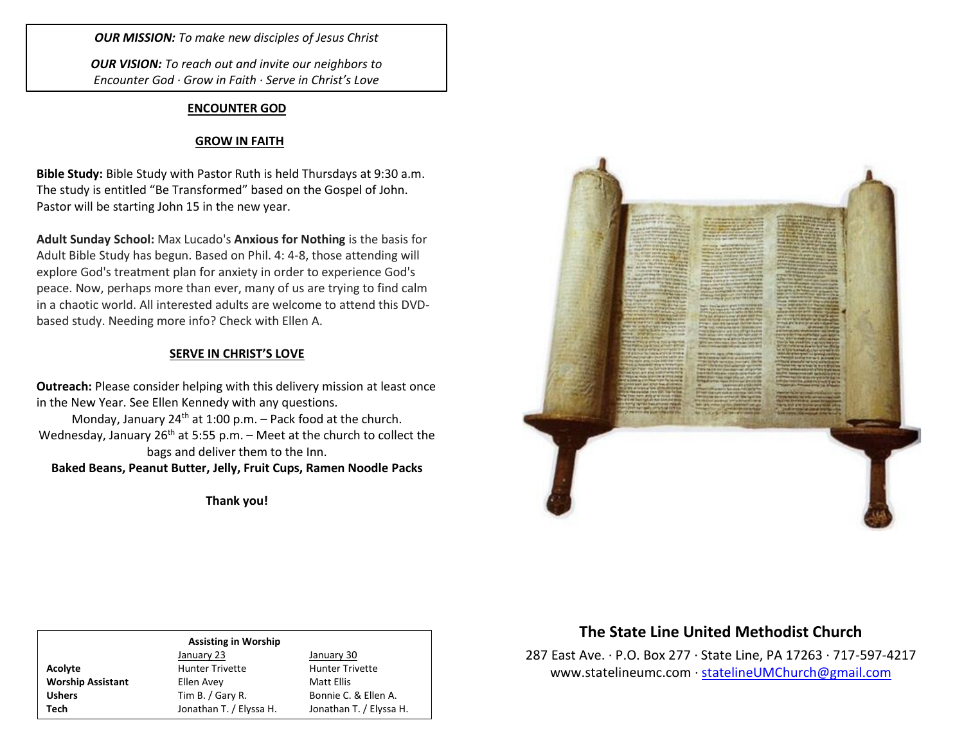*OUR MISSION: To make new disciples of Jesus Christ*

*OUR VISION: To reach out and invite our neighbors to Encounter God · Grow in Faith · Serve in Christ's Love*

#### **ENCOUNTER GOD**

### **GROW IN FAITH**

**Bible Study:** Bible Study with Pastor Ruth is held Thursdays at 9:30 a.m. The study is entitled "Be Transformed" based on the Gospel of John. Pastor will be starting John 15 in the new year.

**Adult Sunday School:** Max Lucado's **Anxious for Nothing** is the basis for Adult Bible Study has begun. Based on Phil. 4: 4-8, those attending will explore God's treatment plan for anxiety in order to experience God's peace. Now, perhaps more than ever, many of us are trying to find calm in a chaotic world. All interested adults are welcome to attend this DVDbased study. Needing more info? Check with Ellen A.

#### **SERVE IN CHRIST'S LOVE**

**Outreach:** Please consider helping with this delivery mission at least once in the New Year. See Ellen Kennedy with any questions.

Monday, January  $24<sup>th</sup>$  at 1:00 p.m. – Pack food at the church. Wednesday, January  $26^{th}$  at 5:55 p.m. – Meet at the church to collect the bags and deliver them to the Inn.

**Baked Beans, Peanut Butter, Jelly, Fruit Cups, Ramen Noodle Packs**

**Thank you!**



# **The State Line United Methodist Church**

287 East Ave. · P.O. Box 277 · State Line, PA 17263 · 717-597-4217 [www.statelineumc.com](http://www.statelineumc.com/) · [statelineUMChurch@gmail.com](mailto:statelineUMChurch@gmail.com)

**Worship Assistant** Ellen Avey **Ellen Avey** Matt Ellis

### **Assisting in Worship**

January 23 January 30 Acolyte **Acolyte** Hunter Trivette **Hunter Trivette** Ushers Tim B. / Gary R. Bonnie C. & Ellen A. **Tech** Jonathan T. / Elyssa H. Jonathan T. / Elyssa H.